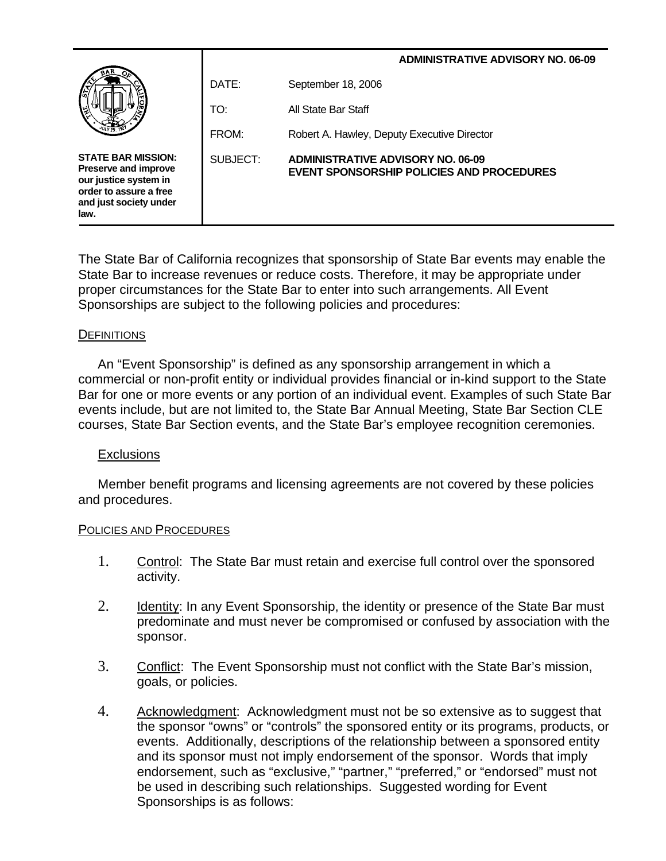|                                                                                                                                               |          | <b>ADMINISTRATIVE ADVISORY NO. 06-09</b>                                              |
|-----------------------------------------------------------------------------------------------------------------------------------------------|----------|---------------------------------------------------------------------------------------|
| E                                                                                                                                             | DATE:    | September 18, 2006                                                                    |
|                                                                                                                                               | TO:      | All State Bar Staff                                                                   |
|                                                                                                                                               | FROM:    | Robert A. Hawley, Deputy Executive Director                                           |
| <b>STATE BAR MISSION:</b><br><b>Preserve and improve</b><br>our justice system in<br>order to assure a free<br>and just society under<br>law. | SUBJECT: | <b>ADMINISTRATIVE ADVISORY NO. 06-09</b><br>EVENT SPONSORSHIP POLICIES AND PROCEDURES |

The State Bar of California recognizes that sponsorship of State Bar events may enable the State Bar to increase revenues or reduce costs. Therefore, it may be appropriate under proper circumstances for the State Bar to enter into such arrangements. All Event Sponsorships are subject to the following policies and procedures:

## **DEFINITIONS**

 An "Event Sponsorship" is defined as any sponsorship arrangement in which a commercial or non-profit entity or individual provides financial or in-kind support to the State Bar for one or more events or any portion of an individual event. Examples of such State Bar events include, but are not limited to, the State Bar Annual Meeting, State Bar Section CLE courses, State Bar Section events, and the State Bar's employee recognition ceremonies.

## Exclusions

Member benefit programs and licensing agreements are not covered by these policies and procedures.

## POLICIES AND PROCEDURES

- 1. Control: The State Bar must retain and exercise full control over the sponsored activity.
- 2. Identity: In any Event Sponsorship, the identity or presence of the State Bar must predominate and must never be compromised or confused by association with the sponsor.
- 3. Conflict: The Event Sponsorship must not conflict with the State Bar's mission, goals, or policies.
- 4. Acknowledgment: Acknowledgment must not be so extensive as to suggest that the sponsor "owns" or "controls" the sponsored entity or its programs, products, or events. Additionally, descriptions of the relationship between a sponsored entity and its sponsor must not imply endorsement of the sponsor. Words that imply endorsement, such as "exclusive," "partner," "preferred," or "endorsed" must not be used in describing such relationships. Suggested wording for Event Sponsorships is as follows: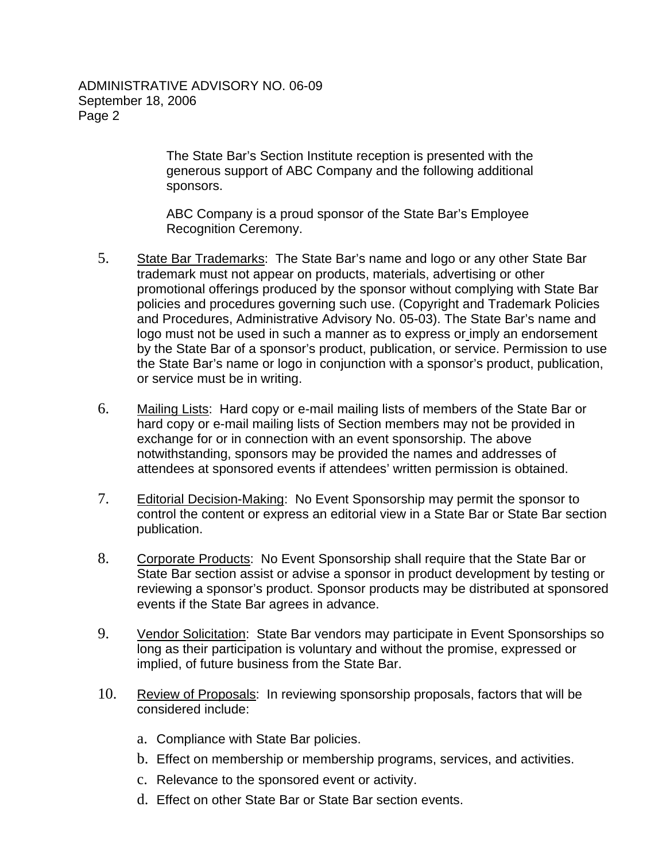## ADMINISTRATIVE ADVISORY NO. 06-09 September 18, 2006 Page 2

The State Bar's Section Institute reception is presented with the generous support of ABC Company and the following additional sponsors.

ABC Company is a proud sponsor of the State Bar's Employee Recognition Ceremony.

- 5. State Bar Trademarks: The State Bar's name and logo or any other State Bar trademark must not appear on products, materials, advertising or other promotional offerings produced by the sponsor without complying with State Bar policies and procedures governing such use. (Copyright and Trademark Policies and Procedures, Administrative Advisory No. 05-03). The State Bar's name and logo must not be used in such a manner as to express or imply an endorsement by the State Bar of a sponsor's product, publication, or service. Permission to use the State Bar's name or logo in conjunction with a sponsor's product, publication, or service must be in writing.
- 6. Mailing Lists: Hard copy or e-mail mailing lists of members of the State Bar or hard copy or e-mail mailing lists of Section members may not be provided in exchange for or in connection with an event sponsorship. The above notwithstanding, sponsors may be provided the names and addresses of attendees at sponsored events if attendees' written permission is obtained.
- 7. Editorial Decision-Making: No Event Sponsorship may permit the sponsor to control the content or express an editorial view in a State Bar or State Bar section publication.
- 8. Corporate Products: No Event Sponsorship shall require that the State Bar or State Bar section assist or advise a sponsor in product development by testing or reviewing a sponsor's product. Sponsor products may be distributed at sponsored events if the State Bar agrees in advance.
- 9. Vendor Solicitation: State Bar vendors may participate in Event Sponsorships so long as their participation is voluntary and without the promise, expressed or implied, of future business from the State Bar.
- 10. Review of Proposals: In reviewing sponsorship proposals, factors that will be considered include:
	- a. Compliance with State Bar policies.
	- b. Effect on membership or membership programs, services, and activities.
	- c. Relevance to the sponsored event or activity.
	- d. Effect on other State Bar or State Bar section events.